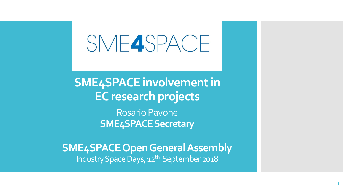# SME4SPACE

**SME4SPACE involvement in EC research projects** 

> Rosario Pavone **SME4SPACE Secretary**

**SME4SPACE Open General Assembly**  Industry Space Days, 12<sup>th</sup> September 2018

**1**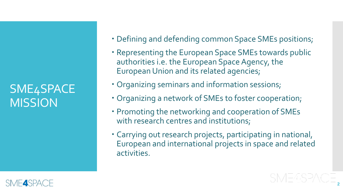### SME4SPACE **MISSION**

- Defining and defending common Space SMEs positions;
- Representing the European Space SMEs towards public authorities i.e. the European Space Agency, the European Union and its related agencies;
- Organizing seminars and information sessions;
- Organizing a network of SMEs to foster cooperation;
- Promoting the networking and cooperation of SMEs with research centres and institutions;
- Carrying out research projects, participating in national, European and international projects in space and related activities.

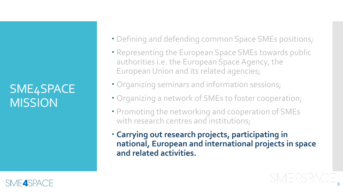### SME4SPACE **MISSION**

- Defining and defending common Space SMEs positions;
- Representing the European Space SMEs towards public authorities i.e. the European Space Agency, the European Union and its related agencies;
- Organizing seminars and information sessions;
- Organizing a network of SMEs to foster cooperation;
- Promoting the networking and cooperation of SMEs with research centres and institutions;
- **Carrying out research projects, participating in national, European and international projects in space and related activities.**

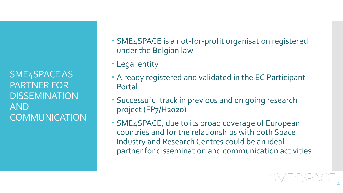SME4SPACE AS PARTNER FOR **DISSEMINATION** AND **COMMUNICATION** 

- SME4SPACE is a not-for-profit organisation registered under the Belgian law
- Legal entity
- Already registered and validated in the EC Participant Portal
- Successuful track in previous and on going research project (FP7/H2020)
- SME4SPACE, due to its broad coverage of European countries and for the relationships with both Space Industry and Research Centres could be an ideal partner for dissemination and communication activities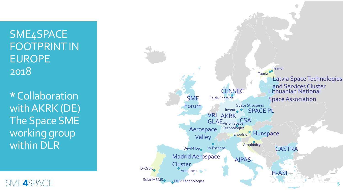SME4SPACE FOOTPRINT IN EUROPE 2018

**\***Collaboration with AKRK (DE) The Space SME working group within DLR



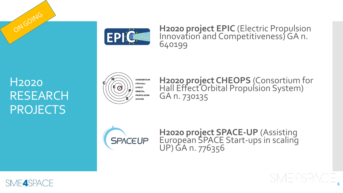

**H2020 project EPIC** (Electric Propulsion Innovation and Competitiveness) GA n. 640199

#### H2020 RESEARCH PROJECTS

ONGOING



**H2020 project CHEOPS** (Consortium for Hall Effect Orbital Propulsion System) GA n. 730135



**H2020 project SPACE-UP** (Assisting European SPACE Start-ups in scaling UP) GA n. 776356

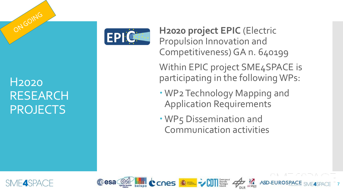

**H2020 project EPIC** (Electric Propulsion Innovation and Competitiveness) GA n. 640199

Within EPIC project SME4SPACE is participating in the following WPs:

**7**

- WP2 Technology Mapping and Application Requirements
- WP5 Dissemination and Communication activities

Cesa **William CCNes Street VCDT** 



ONGOING

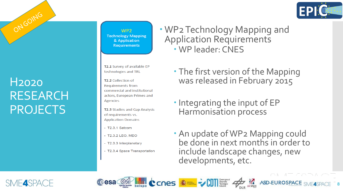

**8**

**ASD-EUROSPACE SME4SPACE** 

## H2020 RESEARCH PROJECTS

ONGOING

WP<sub>2</sub> **Technology Mapping** & Application **Requirements** 

T2.1 Survey of available EP technologies and TRL

**T2.2** Collection of **Requirements from** commercial and institutional actors, European Primes and **Agencies** 

T2.3 Studies and Gap Analysis of requirements vs. **Application Domains** 

 $-$  T2.3.1 Satcom

**Cesa** on

- T2.3.2 LEO, MEO
- T2.3.3 Interplanetary
- T2.3.4 Space Transportation

 WP2 Technology Mapping and Application Requirements WP leader: CNES

- The first version of the Mapping was released in February 2015
- **.** Integrating the input of EP Harmonisation process

CCNes **KE VIIIE 4** 

• An update of WP2 Mapping could be done in next months in order to include landscape changes, new developments, etc.

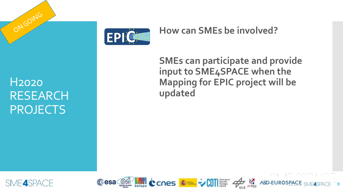

#### **How can SMEs be involved?**

H2020 RESEARCH PROJECTS

ONGOING

**SMEs can participate and provide input to SME4SPACE when the Mapping for EPIC project will be updated**



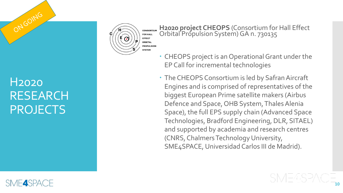#### H2020 RESEARCH PROJECTS

ONGOING



**H2020 project CHEOPS** (Consortium for Hall Effect Orbital Propulsion System) GA n. 730135

- CHEOPS project is an Operational Grant under the EP Call for incremental technologies
- The CHEOPS Consortium is led by Safran Aircraft Engines and is comprised of representatives of the biggest European Prime satellite makers (Airbus Defence and Space, OHB System, Thales Alenia Space), the full EPS supply chain (Advanced Space Technologies, Bradford Engineering, DLR, SITAEL) and supported by academia and research centres (CNRS, Chalmers Technology University, SME4SPACE, Universidad Carlos III de Madrid).

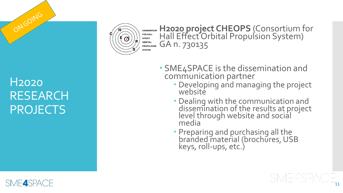

**H2020 project CHEOPS** (Consortium for **CONSORTIUM FOR HALL** Hall Effect Orbital Propulsion System) **EFFECT** ORBITAL GA n. 730135 **PROPULSION SYSTEM** 

#### H2020 RESEARCH PROJECTS

ONGOING

- SME4SPACE is the dissemination and<br>communication partner
	- Developing and managing the project website
	- Dealing with the communication and dissemination of the results at project level through website and social media
	- · Preparing and purchasing all the branded material (brochures, USB keys, roll -ups, etc.)

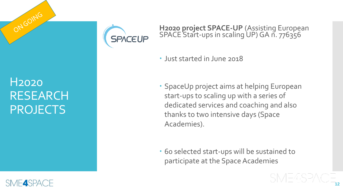

ONGOING



#### **H2020 project SPACE-UP** (Assisting European SPACE Start-ups in scaling UP) GA n. 776356

- Just started in June 2018
- SpaceUp project aims at helping European start-ups to scaling up with a series of dedicated services and coaching and also thanks to two intensive days (Space Academies).
- 60 selected start-ups will be sustained to participate at the Space Academies

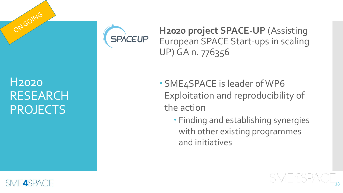

**H2020 project SPACE-UP** (Assisting European SPACE Start-ups in scaling UP) GA n. 776356

#### H2020 RESEARCH **PROJECTS**

ONGOING

- SME4SPACE is leader of WP6 Exploitation and reproducibility of the action
	- Finding and establishing synergies with other existing programmes and initiatives

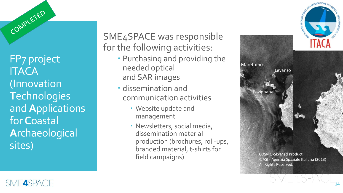FP7 project **ITACA** (**I**nnovation **T**echnologies and **A**pplications for **C**oastal **A**rchaeological sites)

SME4SPACE was responsible for the following activities:

- Purchasing and providing the needed optical and SAR images
- dissemination and communication activities
	- Website update and management
	- Newsletters, social media, dissemination material production (brochures, roll-ups, branded material, t-shirts for field campaigns)





COMPLETED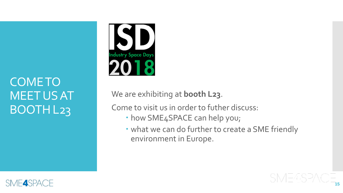#### COME TO MEET US AT BOOTH L23



We are exhibiting at **booth L23**.

Come to visit us in order to futher discuss:

- how SME4SPACE can help you;
- what we can do further to create a SME friendly environment in Europe.